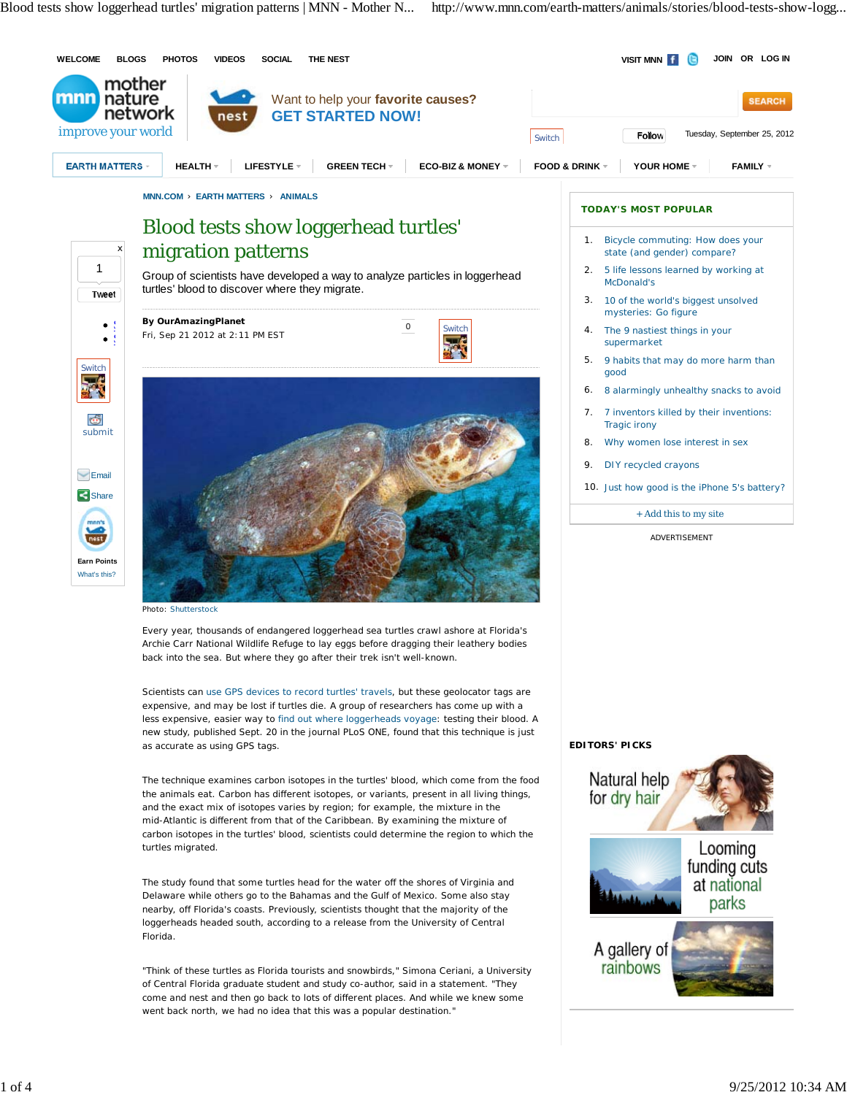Blood tests show loggerhead turtles' migration patterns | MNN - Mother N... http://www.mnn.com/earth-matters/animals/stories/blood-tests-show-logg...



Scientists can use GPS devices to record turtles' travels, but these geolocator tags are expensive, and may be lost if turtles die. A group of researchers has come up with a

less expensive, easier way to find out where loggerheads voyage: testing their blood. A new study, published Sept. 20 in the journal PLoS ONE, found that this technique is just as accurate as using GPS tags.

The technique examines carbon isotopes in the turtles' blood, which come from the food the animals eat. Carbon has different isotopes, or variants, present in all living things, and the exact mix of isotopes varies by region; for example, the mixture in the mid-Atlantic is different from that of the Caribbean. By examining the mixture of carbon isotopes in the turtles' blood, scientists could determine the region to which the turtles migrated.

The study found that some turtles head for the water off the shores of Virginia and Delaware while others go to the Bahamas and the Gulf of Mexico. Some also stay nearby, off Florida's coasts. Previously, scientists thought that the majority of the loggerheads headed south, according to a release from the University of Central Florida.

"Think of these turtles as Florida tourists and snowbirds," Simona Ceriani, a University of Central Florida graduate student and study co-author, said in a statement. "They come and nest and then go back to lots of different places. And while we knew some went back north, we had no idea that this was a popular destination."

## **EDITORS' PICKS**







## Looming funding cuts at national parks

A gallery of rainbows